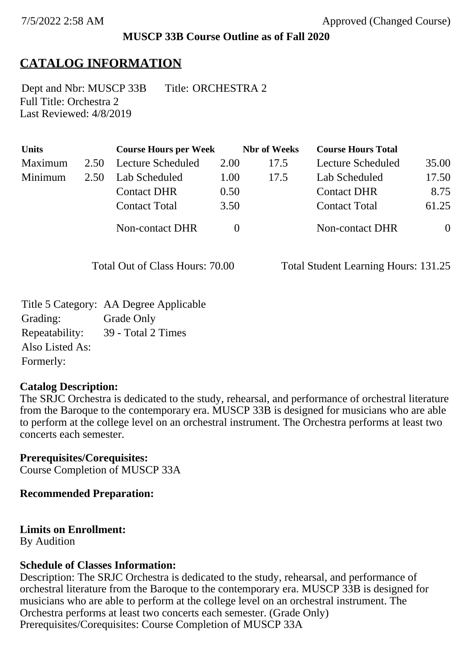### **MUSCP 33B Course Outline as of Fall 2020**

## **CATALOG INFORMATION**

Full Title: Orchestra 2 Last Reviewed: 4/8/2019 Dept and Nbr: MUSCP 33B Title: ORCHESTRA 2

| <b>Units</b> |      | <b>Course Hours per Week</b> |      | <b>Nbr</b> of Weeks | <b>Course Hours Total</b> |                |
|--------------|------|------------------------------|------|---------------------|---------------------------|----------------|
| Maximum      | 2.50 | <b>Lecture Scheduled</b>     | 2.00 | 17.5                | Lecture Scheduled         | 35.00          |
| Minimum      | 2.50 | Lab Scheduled                | 1.00 | 17.5                | Lab Scheduled             | 17.50          |
|              |      | <b>Contact DHR</b>           | 0.50 |                     | <b>Contact DHR</b>        | 8.75           |
|              |      | <b>Contact Total</b>         | 3.50 |                     | <b>Contact Total</b>      | 61.25          |
|              |      | <b>Non-contact DHR</b>       |      |                     | <b>Non-contact DHR</b>    | $\overline{0}$ |

Total Out of Class Hours: 70.00 Total Student Learning Hours: 131.25

Title 5 Category: AA Degree Applicable Grading: Grade Only Repeatability: 39 - Total 2 Times Also Listed As: Formerly:

### **Catalog Description:**

The SRJC Orchestra is dedicated to the study, rehearsal, and performance of orchestral literature from the Baroque to the contemporary era. MUSCP 33B is designed for musicians who are able to perform at the college level on an orchestral instrument. The Orchestra performs at least two concerts each semester.

**Prerequisites/Corequisites:** Course Completion of MUSCP 33A

**Recommended Preparation:**

### **Limits on Enrollment:**

By Audition

#### **Schedule of Classes Information:**

Description: The SRJC Orchestra is dedicated to the study, rehearsal, and performance of orchestral literature from the Baroque to the contemporary era. MUSCP 33B is designed for musicians who are able to perform at the college level on an orchestral instrument. The Orchestra performs at least two concerts each semester. (Grade Only) Prerequisites/Corequisites: Course Completion of MUSCP 33A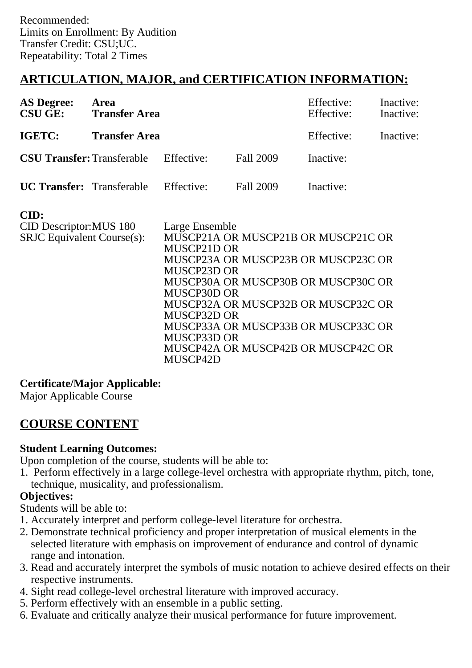# **ARTICULATION, MAJOR, and CERTIFICATION INFORMATION:**

| <b>AS Degree:</b><br><b>CSU GE:</b> | Area<br><b>Transfer Area</b>                 |  | Effective:<br>Effective: | Inactive:<br>Inactive: |           |
|-------------------------------------|----------------------------------------------|--|--------------------------|------------------------|-----------|
| IGETC:                              | <b>Transfer Area</b>                         |  |                          | Effective:             | Inactive: |
|                                     | <b>CSU Transfer:</b> Transferable Effective: |  | Fall 2009                | Inactive:              |           |
|                                     | <b>UC Transfer:</b> Transferable Effective:  |  | Fall 2009                | Inactive:              |           |

| CID:                              |                                     |
|-----------------------------------|-------------------------------------|
| <b>CID Descriptor: MUS 180</b>    | Large Ensemble                      |
| <b>SRJC</b> Equivalent Course(s): | MUSCP21A OR MUSCP21B OR MUSCP21C OR |
|                                   | MUSCP21D OR                         |
|                                   | MUSCP23A OR MUSCP23B OR MUSCP23C OR |
|                                   | MUSCP23D OR                         |
|                                   | MUSCP30A OR MUSCP30B OR MUSCP30C OR |
|                                   | MUSCP30D OR                         |
|                                   | MUSCP32A OR MUSCP32B OR MUSCP32C OR |
|                                   | MUSCP32D OR                         |
|                                   | MUSCP33A OR MUSCP33B OR MUSCP33C OR |
|                                   | MUSCP33D OR                         |
|                                   | MUSCP42A OR MUSCP42B OR MUSCP42C OR |
|                                   | MUSCP42D                            |

## **Certificate/Major Applicable:**

[Major Applicable Course](SR_ClassCheck.aspx?CourseKey=MUSCP33B)

## **COURSE CONTENT**

### **Student Learning Outcomes:**

Upon completion of the course, students will be able to:

1. Perform effectively in a large college-level orchestra with appropriate rhythm, pitch, tone, technique, musicality, and professionalism.

### **Objectives:**

Students will be able to:

- 1. Accurately interpret and perform college-level literature for orchestra.
- 2. Demonstrate technical proficiency and proper interpretation of musical elements in the selected literature with emphasis on improvement of endurance and control of dynamic range and intonation.
- 3. Read and accurately interpret the symbols of music notation to achieve desired effects on their respective instruments.
- 4. Sight read college-level orchestral literature with improved accuracy.
- 5. Perform effectively with an ensemble in a public setting.
- 6. Evaluate and critically analyze their musical performance for future improvement.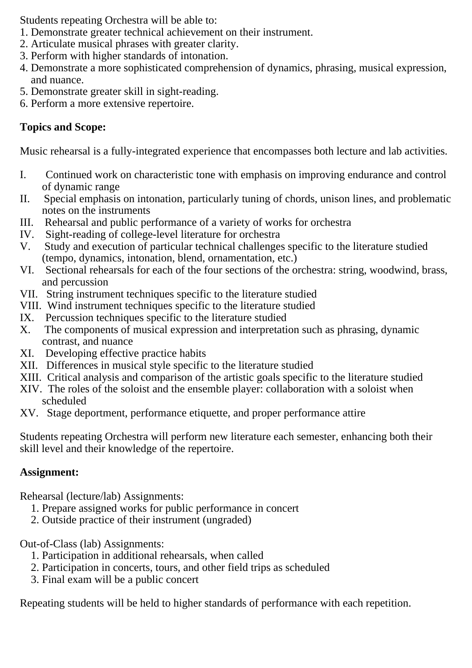Students repeating Orchestra will be able to:

- 1. Demonstrate greater technical achievement on their instrument.
- 2. Articulate musical phrases with greater clarity.
- 3. Perform with higher standards of intonation.
- 4. Demonstrate a more sophisticated comprehension of dynamics, phrasing, musical expression, and nuance.
- 5. Demonstrate greater skill in sight-reading.
- 6. Perform a more extensive repertoire.

## **Topics and Scope:**

Music rehearsal is a fully-integrated experience that encompasses both lecture and lab activities.

- I. Continued work on characteristic tone with emphasis on improving endurance and control of dynamic range
- II. Special emphasis on intonation, particularly tuning of chords, unison lines, and problematic notes on the instruments
- III. Rehearsal and public performance of a variety of works for orchestra
- IV. Sight-reading of college-level literature for orchestra
- V. Study and execution of particular technical challenges specific to the literature studied (tempo, dynamics, intonation, blend, ornamentation, etc.)
- VI. Sectional rehearsals for each of the four sections of the orchestra: string, woodwind, brass, and percussion
- VII. String instrument techniques specific to the literature studied
- VIII. Wind instrument techniques specific to the literature studied
- IX. Percussion techniques specific to the literature studied<br>X. The components of musical expression and interpretation
- The components of musical expression and interpretation such as phrasing, dynamic contrast, and nuance
- XI. Developing effective practice habits
- XII. Differences in musical style specific to the literature studied
- XIII. Critical analysis and comparison of the artistic goals specific to the literature studied
- XIV. The roles of the soloist and the ensemble player: collaboration with a soloist when scheduled
- XV. Stage deportment, performance etiquette, and proper performance attire

Students repeating Orchestra will perform new literature each semester, enhancing both their skill level and their knowledge of the repertoire.

## **Assignment:**

Rehearsal (lecture/lab) Assignments:

- 1. Prepare assigned works for public performance in concert
- 2. Outside practice of their instrument (ungraded)

Out-of-Class (lab) Assignments:

- 1. Participation in additional rehearsals, when called
- 2. Participation in concerts, tours, and other field trips as scheduled
- 3. Final exam will be a public concert

Repeating students will be held to higher standards of performance with each repetition.